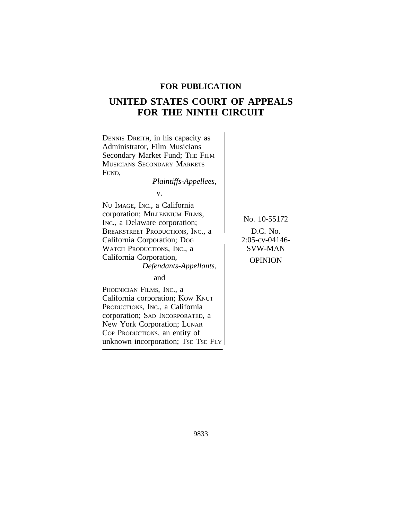# **FOR PUBLICATION**

# **UNITED STATES COURT OF APPEALS FOR THE NINTH CIRCUIT**

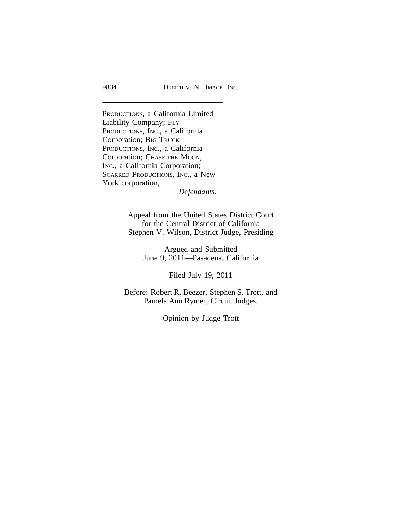<sup>P</sup>RODUCTIONS, a California Limited Liability Company; FLY PRODUCTIONS, INC., a California Corporation; BIG TRUCK<br>PRODUCTIONS, INC., a California Corporation; CHASE THE MOON, INC., a California Corporation; SCARRED PRODUCTIONS, INC., a New York corporation,

*Defendants.*

Appeal from the United States District Court for the Central District of California Stephen V. Wilson, District Judge, Presiding

> Argued and Submitted June 9, 2011—Pasadena, California

> > Filed July 19, 2011

Before: Robert R. Beezer, Stephen S. Trott, and Pamela Ann Rymer, Circuit Judges.

Opinion by Judge Trott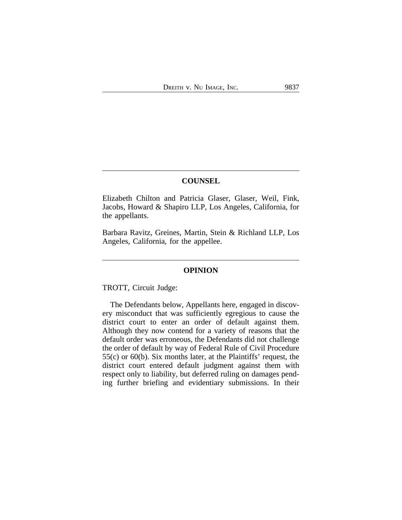# **COUNSEL**

Elizabeth Chilton and Patricia Glaser, Glaser, Weil, Fink, Jacobs, Howard & Shapiro LLP, Los Angeles, California, for the appellants.

Barbara Ravitz, Greines, Martin, Stein & Richland LLP, Los Angeles, California, for the appellee.

## **OPINION**

TROTT, Circuit Judge:

The Defendants below, Appellants here, engaged in discovery misconduct that was sufficiently egregious to cause the district court to enter an order of default against them. Although they now contend for a variety of reasons that the default order was erroneous, the Defendants did not challenge the order of default by way of Federal Rule of Civil Procedure 55(c) or 60(b). Six months later, at the Plaintiffs' request, the district court entered default judgment against them with respect only to liability, but deferred ruling on damages pending further briefing and evidentiary submissions. In their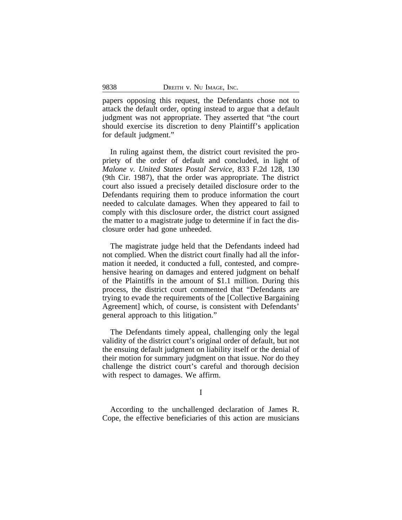papers opposing this request, the Defendants chose not to attack the default order, opting instead to argue that a default judgment was not appropriate. They asserted that "the court should exercise its discretion to deny Plaintiff's application for default judgment."

In ruling against them, the district court revisited the propriety of the order of default and concluded, in light of *Malone v. United States Postal Service*, 833 F.2d 128, 130 (9th Cir. 1987), that the order was appropriate. The district court also issued a precisely detailed disclosure order to the Defendants requiring them to produce information the court needed to calculate damages. When they appeared to fail to comply with this disclosure order, the district court assigned the matter to a magistrate judge to determine if in fact the disclosure order had gone unheeded.

The magistrate judge held that the Defendants indeed had not complied. When the district court finally had all the information it needed, it conducted a full, contested, and comprehensive hearing on damages and entered judgment on behalf of the Plaintiffs in the amount of \$1.1 million. During this process, the district court commented that "Defendants are trying to evade the requirements of the [Collective Bargaining Agreement] which, of course, is consistent with Defendants' general approach to this litigation."

The Defendants timely appeal, challenging only the legal validity of the district court's original order of default, but not the ensuing default judgment on liability itself or the denial of their motion for summary judgment on that issue. Nor do they challenge the district court's careful and thorough decision with respect to damages. We affirm.

I

According to the unchallenged declaration of James R. Cope, the effective beneficiaries of this action are musicians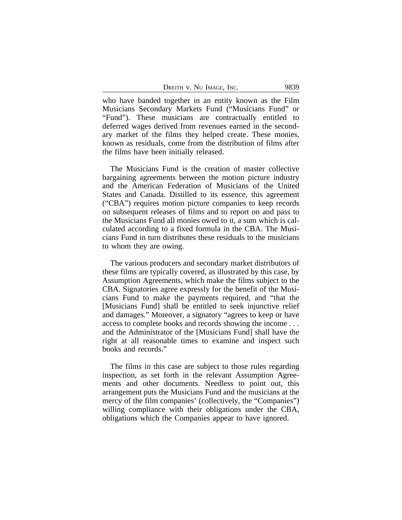| DREITH V. NU IMAGE, INC. |  |  |  | 9839 |
|--------------------------|--|--|--|------|
|--------------------------|--|--|--|------|

who have banded together in an entity known as the Film Musicians Secondary Markets Fund ("Musicians Fund" or "Fund"). These musicians are contractually entitled to deferred wages derived from revenues earned in the secondary market of the films they helped create. These monies, known as residuals, come from the distribution of films after the films have been initially released.

The Musicians Fund is the creation of master collective bargaining agreements between the motion picture industry and the American Federation of Musicians of the United States and Canada. Distilled to its essence, this agreement ("CBA") requires motion picture companies to keep records on subsequent releases of films and to report on and pass to the Musicians Fund all monies owed to it, a sum which is calculated according to a fixed formula in the CBA. The Musicians Fund in turn distributes these residuals to the musicians to whom they are owing.

The various producers and secondary market distributors of these films are typically covered, as illustrated by this case, by Assumption Agreements, which make the films subject to the CBA. Signatories agree expressly for the benefit of the Musicians Fund to make the payments required, and "that the [Musicians Fund] shall be entitled to seek injunctive relief and damages." Moreover, a signatory "agrees to keep or have access to complete books and records showing the income . . . and the Administrator of the [Musicians Fund] shall have the right at all reasonable times to examine and inspect such books and records."

The films in this case are subject to those rules regarding inspection, as set forth in the relevant Assumption Agreements and other documents. Needless to point out, this arrangement puts the Musicians Fund and the musicians at the mercy of the film companies' (collectively, the "Companies") willing compliance with their obligations under the CBA, obligations which the Companies appear to have ignored.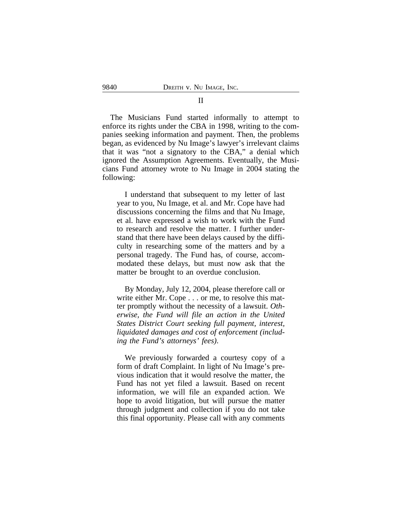The Musicians Fund started informally to attempt to enforce its rights under the CBA in 1998, writing to the companies seeking information and payment. Then, the problems began, as evidenced by Nu Image's lawyer's irrelevant claims that it was "not a signatory to the CBA," a denial which ignored the Assumption Agreements. Eventually, the Musicians Fund attorney wrote to Nu Image in 2004 stating the following:

I understand that subsequent to my letter of last year to you, Nu Image, et al. and Mr. Cope have had discussions concerning the films and that Nu Image, et al. have expressed a wish to work with the Fund to research and resolve the matter. I further understand that there have been delays caused by the difficulty in researching some of the matters and by a personal tragedy. The Fund has, of course, accommodated these delays, but must now ask that the matter be brought to an overdue conclusion.

By Monday, July 12, 2004, please therefore call or write either Mr. Cope . . . or me, to resolve this matter promptly without the necessity of a lawsuit. *Otherwise, the Fund will file an action in the United States District Court seeking full payment, interest, liquidated damages and cost of enforcement (including the Fund's attorneys' fees)*.

We previously forwarded a courtesy copy of a form of draft Complaint. In light of Nu Image's previous indication that it would resolve the matter, the Fund has not yet filed a lawsuit. Based on recent information, we will file an expanded action. We hope to avoid litigation, but will pursue the matter through judgment and collection if you do not take this final opportunity. Please call with any comments

#### II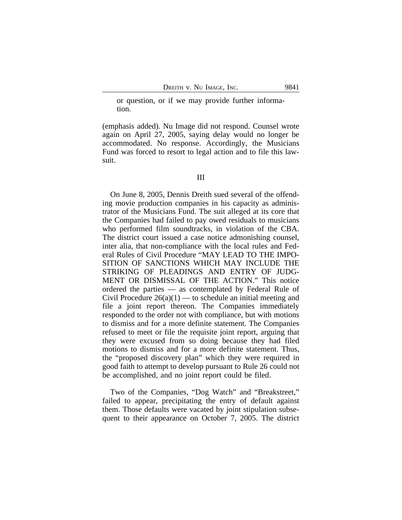or question, or if we may provide further information.

(emphasis added). Nu Image did not respond. Counsel wrote again on April 27, 2005, saying delay would no longer be accommodated. No response. Accordingly, the Musicians Fund was forced to resort to legal action and to file this lawsuit.

On June 8, 2005, Dennis Dreith sued several of the offending movie production companies in his capacity as administrator of the Musicians Fund. The suit alleged at its core that the Companies had failed to pay owed residuals to musicians who performed film soundtracks, in violation of the CBA. The district court issued a case notice admonishing counsel, inter alia, that non-compliance with the local rules and Federal Rules of Civil Procedure "MAY LEAD TO THE IMPO-SITION OF SANCTIONS WHICH MAY INCLUDE THE STRIKING OF PLEADINGS AND ENTRY OF JUDG-MENT OR DISMISSAL OF THE ACTION." This notice ordered the parties — as contemplated by Federal Rule of Civil Procedure  $26(a)(1)$  — to schedule an initial meeting and file a joint report thereon. The Companies immediately responded to the order not with compliance, but with motions to dismiss and for a more definite statement. The Companies refused to meet or file the requisite joint report, arguing that they were excused from so doing because they had filed motions to dismiss and for a more definite statement. Thus, the "proposed discovery plan" which they were required in good faith to attempt to develop pursuant to Rule 26 could not be accomplished, and no joint report could be filed.

Two of the Companies, "Dog Watch" and "Breakstreet," failed to appear, precipitating the entry of default against them. Those defaults were vacated by joint stipulation subsequent to their appearance on October 7, 2005. The district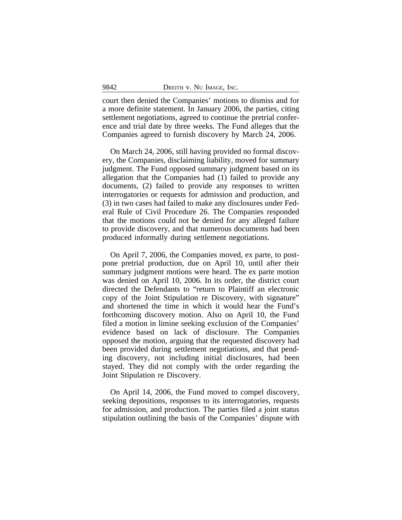court then denied the Companies' motions to dismiss and for a more definite statement. In January 2006, the parties, citing settlement negotiations, agreed to continue the pretrial conference and trial date by three weeks. The Fund alleges that the Companies agreed to furnish discovery by March 24, 2006.

On March 24, 2006, still having provided no formal discovery, the Companies, disclaiming liability, moved for summary judgment. The Fund opposed summary judgment based on its allegation that the Companies had (1) failed to provide any documents, (2) failed to provide any responses to written interrogatories or requests for admission and production, and (3) in two cases had failed to make any disclosures under Federal Rule of Civil Procedure 26. The Companies responded that the motions could not be denied for any alleged failure to provide discovery, and that numerous documents had been produced informally during settlement negotiations.

On April 7, 2006, the Companies moved, ex parte, to postpone pretrial production, due on April 10, until after their summary judgment motions were heard. The ex parte motion was denied on April 10, 2006. In its order, the district court directed the Defendants to "return to Plaintiff an electronic copy of the Joint Stipulation re Discovery, with signature" and shortened the time in which it would hear the Fund's forthcoming discovery motion. Also on April 10, the Fund filed a motion in limine seeking exclusion of the Companies' evidence based on lack of disclosure. The Companies opposed the motion, arguing that the requested discovery had been provided during settlement negotiations, and that pending discovery, not including initial disclosures, had been stayed. They did not comply with the order regarding the Joint Stipulation re Discovery.

On April 14, 2006, the Fund moved to compel discovery, seeking depositions, responses to its interrogatories, requests for admission, and production. The parties filed a joint status stipulation outlining the basis of the Companies' dispute with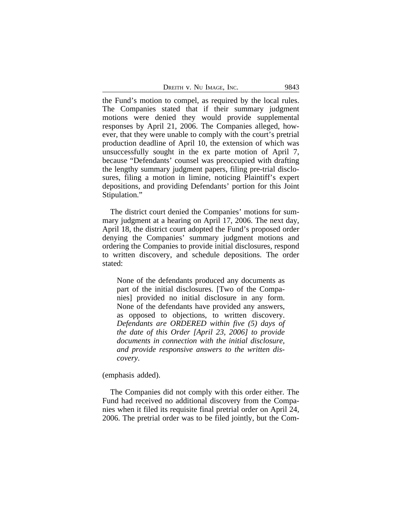| DREITH V. NU IMAGE, INC. |  | 9843 |
|--------------------------|--|------|
|--------------------------|--|------|

the Fund's motion to compel, as required by the local rules. The Companies stated that if their summary judgment motions were denied they would provide supplemental responses by April 21, 2006. The Companies alleged, however, that they were unable to comply with the court's pretrial production deadline of April 10, the extension of which was unsuccessfully sought in the ex parte motion of April 7, because "Defendants' counsel was preoccupied with drafting the lengthy summary judgment papers, filing pre-trial disclosures, filing a motion in limine, noticing Plaintiff's expert depositions, and providing Defendants' portion for this Joint Stipulation."

The district court denied the Companies' motions for summary judgment at a hearing on April 17, 2006. The next day, April 18, the district court adopted the Fund's proposed order denying the Companies' summary judgment motions and ordering the Companies to provide initial disclosures, respond to written discovery, and schedule depositions. The order stated:

None of the defendants produced any documents as part of the initial disclosures. [Two of the Companies] provided no initial disclosure in any form. None of the defendants have provided any answers, as opposed to objections, to written discovery. *Defendants are ORDERED within five (5) days of the date of this Order [April 23, 2006] to provide documents in connection with the initial disclosure, and provide responsive answers to the written discovery*.

(emphasis added).

The Companies did not comply with this order either. The Fund had received no additional discovery from the Companies when it filed its requisite final pretrial order on April 24, 2006. The pretrial order was to be filed jointly, but the Com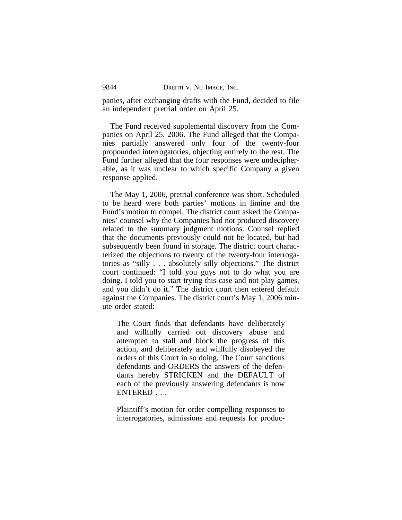panies, after exchanging drafts with the Fund, decided to file an independent pretrial order on April 25.

The Fund received supplemental discovery from the Companies on April 25, 2006. The Fund alleged that the Companies partially answered only four of the twenty-four propounded interrogatories, objecting entirely to the rest. The Fund further alleged that the four responses were undecipherable, as it was unclear to which specific Company a given response applied.

The May 1, 2006, pretrial conference was short. Scheduled to be heard were both parties' motions in limine and the Fund's motion to compel. The district court asked the Companies' counsel why the Companies had not produced discovery related to the summary judgment motions. Counsel replied that the documents previously could not be located, but had subsequently been found in storage. The district court characterized the objections to twenty of the twenty-four interrogatories as "silly . . . absolutely silly objections." The district court continued: "I told you guys not to do what you are doing. I told you to start trying this case and not play games, and you didn't do it." The district court then entered default against the Companies. The district court's May 1, 2006 minute order stated:

The Court finds that defendants have deliberately and willfully carried out discovery abuse and attempted to stall and block the progress of this action, and deliberately and willfully disobeyed the orders of this Court in so doing. The Court sanctions defendants and ORDERS the answers of the defendants hereby STRICKEN and the DEFAULT of each of the previously answering defendants is now ENTERED . . .

Plaintiff's motion for order compelling responses to interrogatories, admissions and requests for produc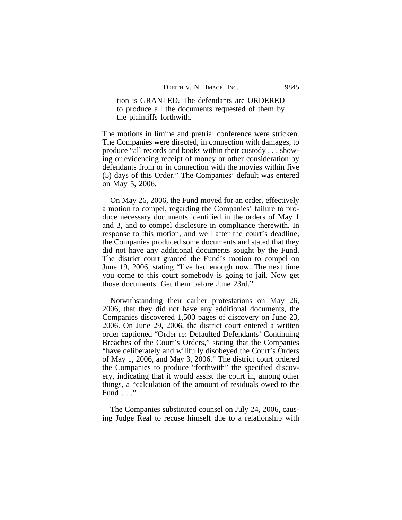tion is GRANTED. The defendants are ORDERED to produce all the documents requested of them by the plaintiffs forthwith.

The motions in limine and pretrial conference were stricken. The Companies were directed, in connection with damages, to produce "all records and books within their custody . . . showing or evidencing receipt of money or other consideration by defendants from or in connection with the movies within five (5) days of this Order." The Companies' default was entered on May 5, 2006.

On May 26, 2006, the Fund moved for an order, effectively a motion to compel, regarding the Companies' failure to produce necessary documents identified in the orders of May 1 and 3, and to compel disclosure in compliance therewith. In response to this motion, and well after the court's deadline, the Companies produced some documents and stated that they did not have any additional documents sought by the Fund. The district court granted the Fund's motion to compel on June 19, 2006, stating "I've had enough now. The next time you come to this court somebody is going to jail. Now get those documents. Get them before June 23rd."

Notwithstanding their earlier protestations on May 26, 2006, that they did not have any additional documents, the Companies discovered 1,500 pages of discovery on June 23, 2006. On June 29, 2006, the district court entered a written order captioned "Order re: Defaulted Defendants' Continuing Breaches of the Court's Orders," stating that the Companies "have deliberately and willfully disobeyed the Court's Orders of May 1, 2006, and May 3, 2006." The district court ordered the Companies to produce "forthwith" the specified discovery, indicating that it would assist the court in, among other things, a "calculation of the amount of residuals owed to the Fund . . ."

The Companies substituted counsel on July 24, 2006, causing Judge Real to recuse himself due to a relationship with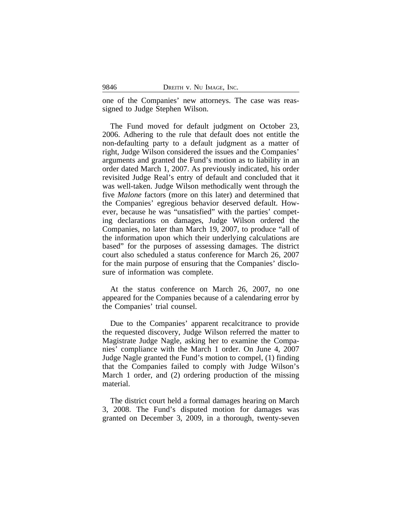one of the Companies' new attorneys. The case was reassigned to Judge Stephen Wilson.

The Fund moved for default judgment on October 23, 2006. Adhering to the rule that default does not entitle the non-defaulting party to a default judgment as a matter of right, Judge Wilson considered the issues and the Companies' arguments and granted the Fund's motion as to liability in an order dated March 1, 2007. As previously indicated, his order revisited Judge Real's entry of default and concluded that it was well-taken. Judge Wilson methodically went through the five *Malone* factors (more on this later) and determined that the Companies' egregious behavior deserved default. However, because he was "unsatisfied" with the parties' competing declarations on damages, Judge Wilson ordered the Companies, no later than March 19, 2007, to produce "all of the information upon which their underlying calculations are based" for the purposes of assessing damages. The district court also scheduled a status conference for March 26, 2007 for the main purpose of ensuring that the Companies' disclosure of information was complete.

At the status conference on March 26, 2007, no one appeared for the Companies because of a calendaring error by the Companies' trial counsel.

Due to the Companies' apparent recalcitrance to provide the requested discovery, Judge Wilson referred the matter to Magistrate Judge Nagle, asking her to examine the Companies' compliance with the March 1 order. On June 4, 2007 Judge Nagle granted the Fund's motion to compel, (1) finding that the Companies failed to comply with Judge Wilson's March 1 order, and (2) ordering production of the missing material.

The district court held a formal damages hearing on March 3, 2008. The Fund's disputed motion for damages was granted on December 3, 2009, in a thorough, twenty-seven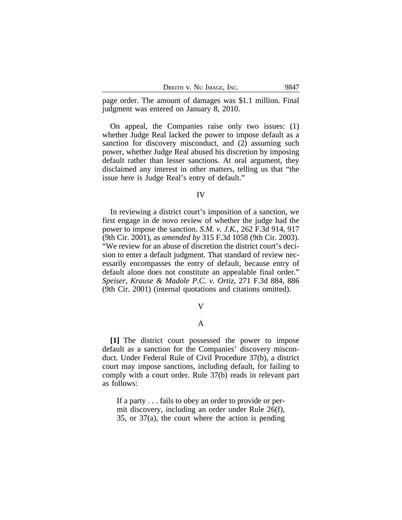page order. The amount of damages was \$1.1 million. Final judgment was entered on January 8, 2010.

On appeal, the Companies raise only two issues: (1) whether Judge Real lacked the power to impose default as a sanction for discovery misconduct, and (2) assuming such power, whether Judge Real abused his discretion by imposing default rather than lesser sanctions. At oral argument, they disclaimed any interest in other matters, telling us that "the issue here is Judge Real's entry of default."

### IV

In reviewing a district court's imposition of a sanction, we first engage in de novo review of whether the judge had the power to impose the sanction. *S.M. v. J.K.*, 262 F.3d 914, 917 (9th Cir. 2001), as *amended by* 315 F.3d 1058 (9th Cir. 2003). "We review for an abuse of discretion the district court's decision to enter a default judgment. That standard of review necessarily encompasses the entry of default, because entry of default alone does not constitute an appealable final order." *Speiser, Krause & Madole P.C. v. Ortiz*, 271 F.3d 884, 886 (9th Cir. 2001) (internal quotations and citations omitted).

#### V

## A

**[1]** The district court possessed the power to impose default as a sanction for the Companies' discovery misconduct. Under Federal Rule of Civil Procedure 37(b), a district court may impose sanctions, including default, for failing to comply with a court order. Rule 37(b) reads in relevant part as follows:

If a party . . . fails to obey an order to provide or permit discovery, including an order under Rule 26(f), 35, or 37(a), the court where the action is pending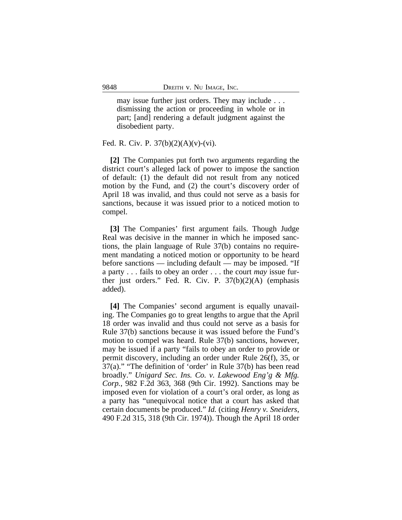may issue further just orders. They may include . . . dismissing the action or proceeding in whole or in part; [and] rendering a default judgment against the disobedient party.

#### Fed. R. Civ. P.  $37(b)(2)(A)(v)-(vi)$ .

**[2]** The Companies put forth two arguments regarding the district court's alleged lack of power to impose the sanction of default: (1) the default did not result from any noticed motion by the Fund, and (2) the court's discovery order of April 18 was invalid, and thus could not serve as a basis for sanctions, because it was issued prior to a noticed motion to compel.

**[3]** The Companies' first argument fails. Though Judge Real was decisive in the manner in which he imposed sanctions, the plain language of Rule 37(b) contains no requirement mandating a noticed motion or opportunity to be heard before sanctions — including default — may be imposed. "If a party . . . fails to obey an order . . . the court *may* issue further just orders." Fed. R. Civ. P. 37(b)(2)(A) (emphasis added).

**[4]** The Companies' second argument is equally unavailing. The Companies go to great lengths to argue that the April 18 order was invalid and thus could not serve as a basis for Rule 37(b) sanctions because it was issued before the Fund's motion to compel was heard. Rule 37(b) sanctions, however, may be issued if a party "fails to obey an order to provide or permit discovery, including an order under Rule 26(f), 35, or 37(a)." "The definition of 'order' in Rule 37(b) has been read broadly." *Unigard Sec. Ins. Co. v. Lakewood Eng'g & Mfg. Corp.*, 982 F.2d 363, 368 (9th Cir. 1992). Sanctions may be imposed even for violation of a court's oral order, as long as a party has "unequivocal notice that a court has asked that certain documents be produced." *Id.* (citing *Henry v. Sneiders*, 490 F.2d 315, 318 (9th Cir. 1974)). Though the April 18 order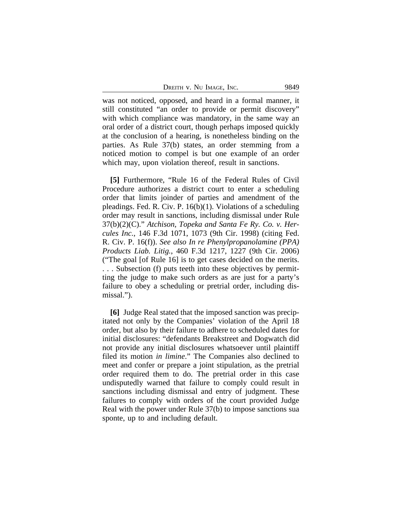DREITH V. NU IMAGE, INC. 9849

was not noticed, opposed, and heard in a formal manner, it still constituted "an order to provide or permit discovery" with which compliance was mandatory, in the same way an oral order of a district court, though perhaps imposed quickly at the conclusion of a hearing, is nonetheless binding on the parties. As Rule 37(b) states, an order stemming from a noticed motion to compel is but one example of an order which may, upon violation thereof, result in sanctions.

**[5]** Furthermore, "Rule 16 of the Federal Rules of Civil Procedure authorizes a district court to enter a scheduling order that limits joinder of parties and amendment of the pleadings. Fed. R. Civ. P. 16(b)(1). Violations of a scheduling order may result in sanctions, including dismissal under Rule 37(b)(2)(C)." *Atchison, Topeka and Santa Fe Ry. Co. v. Hercules Inc.*, 146 F.3d 1071, 1073 (9th Cir. 1998) (citing Fed. R. Civ. P. 16(f)). *See also In re Phenylpropanolamine (PPA) Products Liab. Litig.*, 460 F.3d 1217, 1227 (9th Cir. 2006) ("The goal [of Rule 16] is to get cases decided on the merits. . . . Subsection (f) puts teeth into these objectives by permitting the judge to make such orders as are just for a party's failure to obey a scheduling or pretrial order, including dismissal.").

**[6]** Judge Real stated that the imposed sanction was precipitated not only by the Companies' violation of the April 18 order, but also by their failure to adhere to scheduled dates for initial disclosures: "defendants Breakstreet and Dogwatch did not provide any initial disclosures whatsoever until plaintiff filed its motion *in limine*." The Companies also declined to meet and confer or prepare a joint stipulation, as the pretrial order required them to do. The pretrial order in this case undisputedly warned that failure to comply could result in sanctions including dismissal and entry of judgment. These failures to comply with orders of the court provided Judge Real with the power under Rule 37(b) to impose sanctions sua sponte, up to and including default.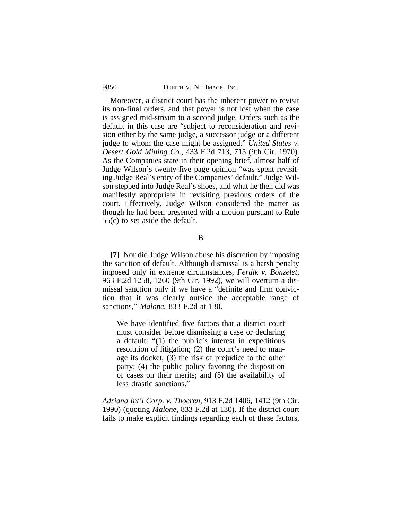Moreover, a district court has the inherent power to revisit its non-final orders, and that power is not lost when the case is assigned mid-stream to a second judge. Orders such as the default in this case are "subject to reconsideration and revision either by the same judge, a successor judge or a different judge to whom the case might be assigned." *United States v. Desert Gold Mining Co.*, 433 F.2d 713, 715 (9th Cir. 1970). As the Companies state in their opening brief, almost half of Judge Wilson's twenty-five page opinion "was spent revisiting Judge Real's entry of the Companies' default." Judge Wilson stepped into Judge Real's shoes, and what he then did was manifestly appropriate in revisiting previous orders of the court. Effectively, Judge Wilson considered the matter as though he had been presented with a motion pursuant to Rule 55(c) to set aside the default.

B

**[7]** Nor did Judge Wilson abuse his discretion by imposing the sanction of default. Although dismissal is a harsh penalty imposed only in extreme circumstances, *Ferdik v. Bonzelet*, 963 F.2d 1258, 1260 (9th Cir. 1992), we will overturn a dismissal sanction only if we have a "definite and firm conviction that it was clearly outside the acceptable range of sanctions," *Malone*, 833 F.2d at 130.

We have identified five factors that a district court must consider before dismissing a case or declaring a default: "(1) the public's interest in expeditious resolution of litigation; (2) the court's need to manage its docket; (3) the risk of prejudice to the other party; (4) the public policy favoring the disposition of cases on their merits; and (5) the availability of less drastic sanctions."

*Adriana Int'l Corp. v. Thoeren*, 913 F.2d 1406, 1412 (9th Cir. 1990) (quoting *Malone*, 833 F.2d at 130). If the district court fails to make explicit findings regarding each of these factors,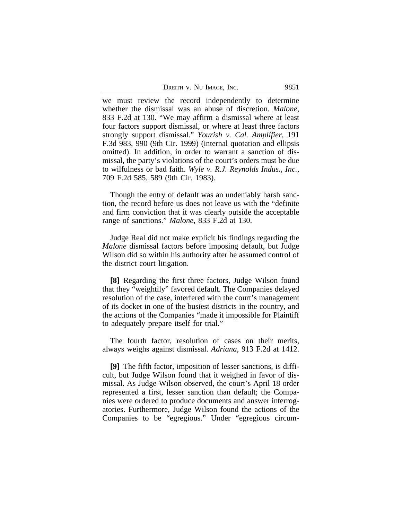DREITH V. NU IMAGE, INC. 9851

we must review the record independently to determine whether the dismissal was an abuse of discretion. *Malone*, 833 F.2d at 130. "We may affirm a dismissal where at least four factors support dismissal, or where at least three factors strongly support dismissal." *Yourish v. Cal. Amplifier*, 191 F.3d 983, 990 (9th Cir. 1999) (internal quotation and ellipsis omitted). In addition, in order to warrant a sanction of dismissal, the party's violations of the court's orders must be due to wilfulness or bad faith. *Wyle v. R.J. Reynolds Indus., Inc.*, 709 F.2d 585, 589 (9th Cir. 1983).

Though the entry of default was an undeniably harsh sanction, the record before us does not leave us with the "definite and firm conviction that it was clearly outside the acceptable range of sanctions." *Malone*, 833 F.2d at 130.

Judge Real did not make explicit his findings regarding the *Malone* dismissal factors before imposing default, but Judge Wilson did so within his authority after he assumed control of the district court litigation.

**[8]** Regarding the first three factors, Judge Wilson found that they "weightily" favored default. The Companies delayed resolution of the case, interfered with the court's management of its docket in one of the busiest districts in the country, and the actions of the Companies "made it impossible for Plaintiff to adequately prepare itself for trial."

The fourth factor, resolution of cases on their merits, always weighs against dismissal. *Adriana*, 913 F.2d at 1412.

**[9]** The fifth factor, imposition of lesser sanctions, is difficult, but Judge Wilson found that it weighed in favor of dismissal. As Judge Wilson observed, the court's April 18 order represented a first, lesser sanction than default; the Companies were ordered to produce documents and answer interrogatories. Furthermore, Judge Wilson found the actions of the Companies to be "egregious." Under "egregious circum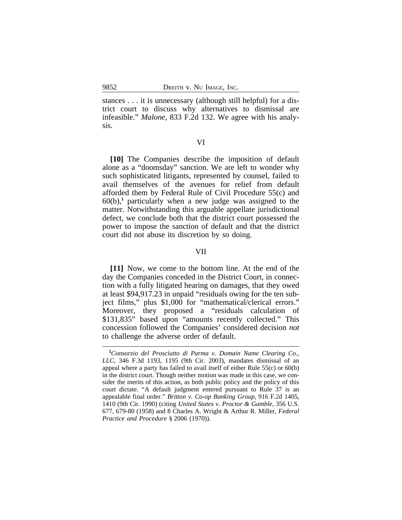stances . . . it is unnecessary (although still helpful) for a district court to discuss why alternatives to dismissal are infeasible." *Malone*, 833 F.2d 132. We agree with his analysis.

#### VI

**[10]** The Companies describe the imposition of default alone as a "doomsday" sanction. We are left to wonder why such sophisticated litigants, represented by counsel, failed to avail themselves of the avenues for relief from default afforded them by Federal Rule of Civil Procedure 55(c) and 60(b),**<sup>1</sup>** particularly when a new judge was assigned to the matter. Notwithstanding this arguable appellate jurisdictional defect, we conclude both that the district court possessed the power to impose the sanction of default and that the district court did not abuse its discretion by so doing.

#### VII

**[11]** Now, we come to the bottom line. At the end of the day the Companies conceded in the District Court, in connection with a fully litigated hearing on damages, that they owed at least \$94,917.23 in unpaid "residuals owing for the ten subject films," plus \$1,000 for "mathematical/clerical errors." Moreover, they proposed a "residuals calculation of \$131,835" based upon "amounts recently collected." This concession followed the Companies' considered decision *not* to challenge the adverse order of default.

**<sup>1</sup>***Consorzio del Prosciutto di Parma v. Domain Name Clearing Co., LLC*, 346 F.3d 1193, 1195 (9th Cir. 2003), mandates dismissal of an appeal where a party has failed to avail itself of either Rule 55(c) or 60(b) in the district court. Though neither motion was made in this case, we consider the merits of this action, as both public policy and the policy of this court dictate. "A default judgment entered pursuant to Rule 37 is an appealable final order." *Britton v. Co-op Banking Group*, 916 F.2d 1405, 1410 (9th Cir. 1990) (citing *United States v. Proctor & Gamble*, 356 U.S. 677, 679-80 (1958) and 8 Charles A. Wright & Arthur R. Miller, *Federal Practice and Procedure* § 2006 (1970)).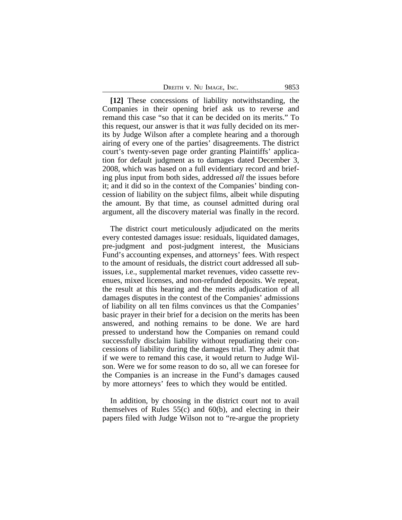| DREITH V. NU IMAGE, INC. |  | 9853 |
|--------------------------|--|------|
|--------------------------|--|------|

**[12]** These concessions of liability notwithstanding, the Companies in their opening brief ask us to reverse and remand this case "so that it can be decided on its merits." To this request, our answer is that it *was* fully decided on its merits by Judge Wilson after a complete hearing and a thorough airing of every one of the parties' disagreements. The district court's twenty-seven page order granting Plaintiffs' application for default judgment as to damages dated December 3, 2008, which was based on a full evidentiary record and briefing plus input from both sides, addressed *all* the issues before it; and it did so in the context of the Companies' binding concession of liability on the subject films, albeit while disputing the amount. By that time, as counsel admitted during oral argument, all the discovery material was finally in the record.

The district court meticulously adjudicated on the merits every contested damages issue: residuals, liquidated damages, pre-judgment and post-judgment interest, the Musicians Fund's accounting expenses, and attorneys' fees. With respect to the amount of residuals, the district court addressed all subissues, i.e., supplemental market revenues, video cassette revenues, mixed licenses, and non-refunded deposits. We repeat, the result at this hearing and the merits adjudication of all damages disputes in the contest of the Companies' admissions of liability on all ten films convinces us that the Companies' basic prayer in their brief for a decision on the merits has been answered, and nothing remains to be done. We are hard pressed to understand how the Companies on remand could successfully disclaim liability without repudiating their concessions of liability during the damages trial. They admit that if we were to remand this case, it would return to Judge Wilson. Were we for some reason to do so, all we can foresee for the Companies is an increase in the Fund's damages caused by more attorneys' fees to which they would be entitled.

In addition, by choosing in the district court not to avail themselves of Rules  $55(c)$  and  $60(b)$ , and electing in their papers filed with Judge Wilson not to "re-argue the propriety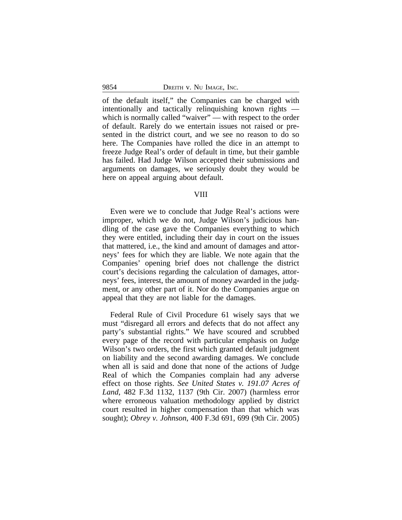of the default itself," the Companies can be charged with intentionally and tactically relinquishing known rights which is normally called "waiver" — with respect to the order of default. Rarely do we entertain issues not raised or presented in the district court, and we see no reason to do so here. The Companies have rolled the dice in an attempt to freeze Judge Real's order of default in time, but their gamble has failed. Had Judge Wilson accepted their submissions and arguments on damages, we seriously doubt they would be here on appeal arguing about default.

#### VIII

Even were we to conclude that Judge Real's actions were improper, which we do not, Judge Wilson's judicious handling of the case gave the Companies everything to which they were entitled, including their day in court on the issues that mattered, i.e., the kind and amount of damages and attorneys' fees for which they are liable. We note again that the Companies' opening brief does not challenge the district court's decisions regarding the calculation of damages, attorneys' fees, interest, the amount of money awarded in the judgment, or any other part of it. Nor do the Companies argue on appeal that they are not liable for the damages.

Federal Rule of Civil Procedure 61 wisely says that we must "disregard all errors and defects that do not affect any party's substantial rights." We have scoured and scrubbed every page of the record with particular emphasis on Judge Wilson's two orders, the first which granted default judgment on liability and the second awarding damages. We conclude when all is said and done that none of the actions of Judge Real of which the Companies complain had any adverse effect on those rights. *See United States v. 191.07 Acres of Land*, 482 F.3d 1132, 1137 (9th Cir. 2007) (harmless error where erroneous valuation methodology applied by district court resulted in higher compensation than that which was sought); *Obrey v. Johnson*, 400 F.3d 691, 699 (9th Cir. 2005)